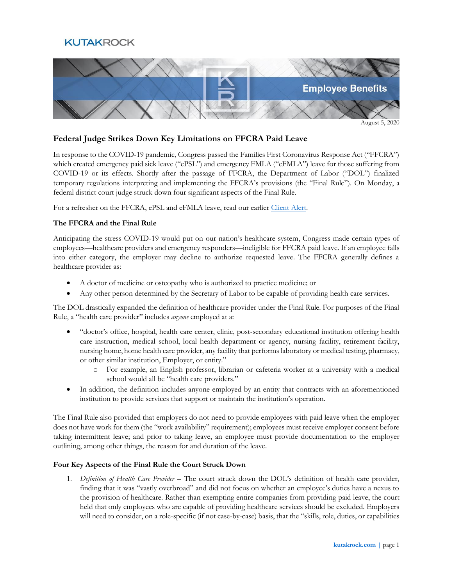# **KUTAKROCK**



August 5, 2020

## **Federal Judge Strikes Down Key Limitations on FFCRA Paid Leave**

In response to the COVID-19 pandemic, Congress passed the Families First Coronavirus Response Act ("FFCRA") which created emergency paid sick leave ("ePSL") and emergency FMLA ("eFMLA") leave for those suffering from COVID-19 or its effects. Shortly after the passage of FFCRA, the Department of Labor ("DOL") finalized temporary regulations interpreting and implementing the FFCRA's provisions (the "Final Rule"). On Monday, a federal district court judge struck down four significant aspects of the Final Rule.

For a refresher on the FFCRA, ePSL and eFMLA leave, read our earlier [Client Alert.](https://www.kutakrock.com/-/media/files/news-and-publications/publications/2020/03/ebecnew-coronavirus-relief-law-impacts-health-plan.pdf)

### **The FFCRA and the Final Rule**

Anticipating the stress COVID-19 would put on our nation's healthcare system, Congress made certain types of employees—healthcare providers and emergency responders—ineligible for FFCRA paid leave. If an employee falls into either category, the employer may decline to authorize requested leave. The FFCRA generally defines a healthcare provider as:

- A doctor of medicine or osteopathy who is authorized to practice medicine; or
- Any other person determined by the Secretary of Labor to be capable of providing health care services.

The DOL drastically expanded the definition of healthcare provider under the Final Rule. For purposes of the Final Rule, a "health care provider" includes *anyone* employed at a:

- "doctor's office, hospital, health care center, clinic, post-secondary educational institution offering health care instruction, medical school, local health department or agency, nursing facility, retirement facility, nursing home, home health care provider, any facility that performs laboratory or medical testing, pharmacy, or other similar institution, Employer, or entity."
	- o For example, an English professor, librarian or cafeteria worker at a university with a medical school would all be "health care providers."
- In addition, the definition includes anyone employed by an entity that contracts with an aforementioned institution to provide services that support or maintain the institution's operation.

The Final Rule also provided that employers do not need to provide employees with paid leave when the employer does not have work for them (the "work availability" requirement); employees must receive employer consent before taking intermittent leave; and prior to taking leave, an employee must provide documentation to the employer outlining, among other things, the reason for and duration of the leave.

### **Four Key Aspects of the Final Rule the Court Struck Down**

1. *Definition of Health Care Provider* – The court struck down the DOL's definition of health care provider, finding that it was "vastly overbroad" and did not focus on whether an employee's duties have a nexus to the provision of healthcare. Rather than exempting entire companies from providing paid leave, the court held that only employees who are capable of providing healthcare services should be excluded. Employers will need to consider, on a role-specific (if not case-by-case) basis, that the "skills, role, duties, or capabilities